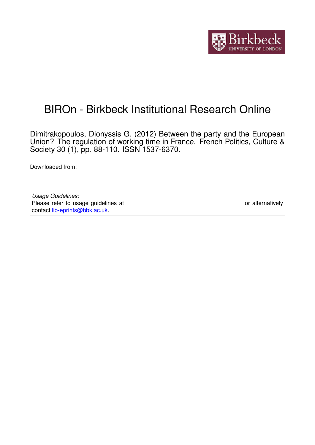

# BIROn - Birkbeck Institutional Research Online

Dimitrakopoulos, Dionyssis G. (2012) Between the party and the European Union? The regulation of working time in France. French Politics, Culture & Society 30 (1), pp. 88-110. ISSN 1537-6370.

Downloaded from: <https://eprints.bbk.ac.uk/id/eprint/5025/>

*Usage Guidelines:* Please refer to usage guidelines at <https://eprints.bbk.ac.uk/policies.html> or alternatively contact [lib-eprints@bbk.ac.uk.](mailto:lib-eprints@bbk.ac.uk)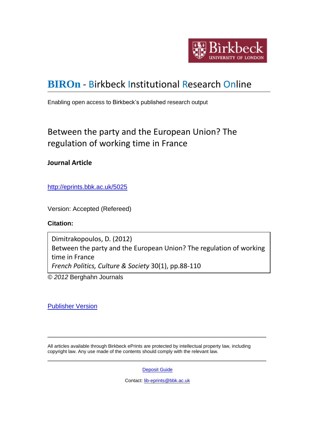

# **[BIROn](http://eprints.bbk.ac.uk/irstats.cgi)** - Birkbeck Institutional Research Online

Enabling open access to Birkbeck's published research output

# Between the party and the European Union? The regulation of working time in France

# **Journal Article**

<http://eprints.bbk.ac.uk/5025>

Version: Accepted (Refereed)

# **Citation:**

Dimitrakopoulos, D. (2012) Between the party and the European Union? The regulation of working time in France *French Politics, Culture & Society* 30(1), pp.88-110

*© 2012* Berghahn Journals

[Publisher Version](http://dx.doi.org/10.3167/fpcs.2012.300105)

All articles available through Birkbeck ePrints are protected by intellectual property law, including copyright law. Any use made of the contents should comply with the relevant law.

[Deposit Guide](http://eprints.bbk.ac.uk/deposit_guide.html)

\_\_\_\_\_\_\_\_\_\_\_\_\_\_\_\_\_\_\_\_\_\_\_\_\_\_\_\_\_\_\_\_\_\_\_\_\_\_\_\_\_\_\_\_\_\_\_\_\_\_\_\_\_\_\_\_\_\_\_\_\_\_

\_\_\_\_\_\_\_\_\_\_\_\_\_\_\_\_\_\_\_\_\_\_\_\_\_\_\_\_\_\_\_\_\_\_\_\_\_\_\_\_\_\_\_\_\_\_\_\_\_\_\_\_\_\_\_\_\_\_\_\_\_\_

Contact: [lib-eprints@bbk.ac.uk](mailto:lib-eprints@bbk.ac.uk)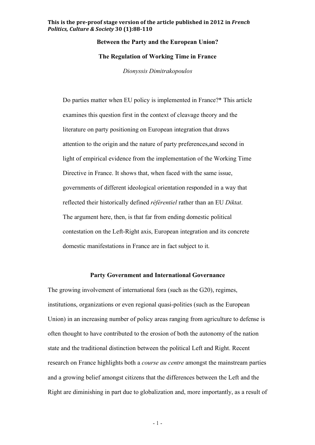# **Between the Party and the European Union?**

#### **The Regulation of Working Time in France**

*Dionyssis Dimitrakopoulos*

Do parties matter when EU policy is implemented in France?\* This article examines this question first in the context of cleavage theory and the literature on party positioning on European integration that draws attention to the origin and the nature of party preferences,and second in light of empirical evidence from the implementation of the Working Time Directive in France. It shows that, when faced with the same issue, governments of different ideological orientation responded in a way that reflected their historically defined *référentiel* rather than an EU *Diktat*. The argument here, then, is that far from ending domestic political contestation on the Left-Right axis, European integration and its concrete domestic manifestations in France are in fact subject to it.

# **Party Government and International Governance**

The growing involvement of international fora (such as the G20), regimes, institutions, organizations or even regional quasi-polities (such as the European Union) in an increasing number of policy areas ranging from agriculture to defense is often thought to have contributed to the erosion of both the autonomy of the nation state and the traditional distinction between the political Left and Right. Recent research on France highlights both a *course au centre* amongst the mainstream parties and a growing belief amongst citizens that the differences between the Left and the Right are diminishing in part due to globalization and, more importantly, as a result of

- 1 -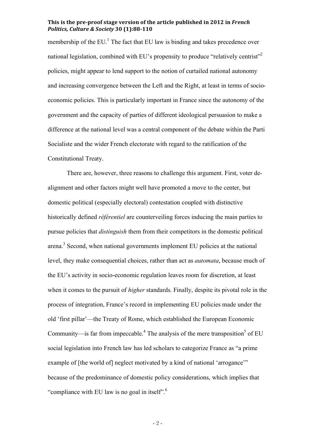membership of the EU.<sup>1</sup> The fact that EU law is binding and takes precedence over national legislation, combined with EU's propensity to produce "relatively centrist"<sup>2</sup> policies, might appear to lend support to the notion of curtailed national autonomy and increasing convergence between the Left and the Right, at least in terms of socioeconomic policies. This is particularly important in France since the autonomy of the government and the capacity of parties of different ideological persuasion to make a difference at the national level was a central component of the debate within the Parti Socialiste and the wider French electorate with regard to the ratification of the Constitutional Treaty.

There are, however, three reasons to challenge this argument. First, voter dealignment and other factors might well have promoted a move to the center, but domestic political (especially electoral) contestation coupled with distinctive historically defined *référentiel* are counterveiling forces inducing the main parties to pursue policies that *distinguish* them from their competitors in the domestic political arena.<sup>3</sup> Second, when national governments implement EU policies at the national level, they make consequential choices, rather than act as *automata*, because much of the EU's activity in socio-economic regulation leaves room for discretion, at least when it comes to the pursuit of *higher* standards. Finally, despite its pivotal role in the process of integration, France's record in implementing EU policies made under the old 'first pillar'—the Treaty of Rome, which established the European Economic Community—is far from impeccable.<sup>4</sup> The analysis of the mere transposition<sup>5</sup> of EU social legislation into French law has led scholars to categorize France as "a prime example of [the world of] neglect motivated by a kind of national 'arrogance'" because of the predominance of domestic policy considerations, which implies that "compliance with EU law is no goal in itself".

- 2 -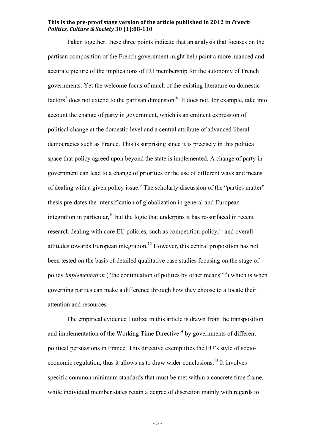Taken together, these three points indicate that an analysis that focuses on the partisan composition of the French government might help paint a more nuanced and accurate picture of the implications of EU membership for the autonomy of French governments. Yet the welcome focus of much of the existing literature on domestic factors<sup>7</sup> does not extend to the partisan dimension.<sup>8</sup> It does not, for example, take into account the change of party in government, which is an eminent expression of political change at the domestic level and a central attribute of advanced liberal democracies such as France. This is surprising since it is precisely in this political space that policy agreed upon beyond the state is implemented. A change of party in government can lead to a change of priorities or the use of different ways and means of dealing with a given policy issue.<sup>9</sup> The scholarly discussion of the "parties matter" thesis pre-dates the intensification of globalization in general and European integration in particular,<sup>10</sup> but the logic that underpins it has re-surfaced in recent research dealing with core EU policies, such as competition policy, $11$  and overall attitudes towards European integration. 12 However, this central proposition has not been tested on the basis of detailed qualitative case studies focusing on the stage of policy *implementation* ("the continuation of politics by other means"<sup>13</sup>) which is when governing parties can make a difference through how they choose to allocate their attention and resources.

The empirical evidence I utilize in this article is drawn from the transposition and implementation of the Working Time Directive<sup>14</sup> by governments of different political persuasions in France. This directive exemplifies the EU's style of socioeconomic regulation, thus it allows us to draw wider conclusions.<sup>15</sup> It involves specific common minimum standards that must be met within a concrete time frame, while individual member states retain a degree of discretion mainly with regards to

- 3 -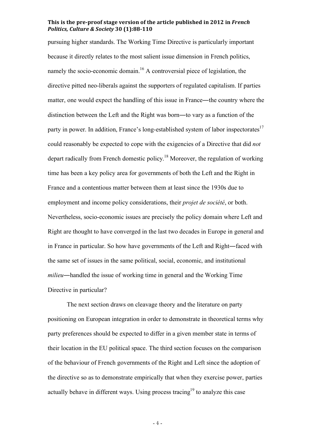pursuing higher standards. The Working Time Directive is particularly important because it directly relates to the most salient issue dimension in French politics, namely the socio-economic domain.<sup>16</sup> A controversial piece of legislation, the directive pitted neo-liberals against the supporters of regulated capitalism. If parties matter, one would expect the handling of this issue in France—the country where the distinction between the Left and the Right was born―to vary as a function of the party in power. In addition, France's long-established system of labor inspectorates<sup>17</sup> could reasonably be expected to cope with the exigencies of a Directive that did *not* depart radically from French domestic policy.<sup>18</sup> Moreover, the regulation of working time has been a key policy area for governments of both the Left and the Right in France and a contentious matter between them at least since the 1930s due to employment and income policy considerations, their *projet de société*, or both. Nevertheless, socio-economic issues are precisely the policy domain where Left and Right are thought to have converged in the last two decades in Europe in general and in France in particular. So how have governments of the Left and Right―faced with the same set of issues in the same political, social, economic, and institutional *milieu*—handled the issue of working time in general and the Working Time Directive in particular?

The next section draws on cleavage theory and the literature on party positioning on European integration in order to demonstrate in theoretical terms why party preferences should be expected to differ in a given member state in terms of their location in the EU political space. The third section focuses on the comparison of the behaviour of French governments of the Right and Left since the adoption of the directive so as to demonstrate empirically that when they exercise power, parties actually behave in different ways. Using process tracing<sup>19</sup> to analyze this case

- 4 -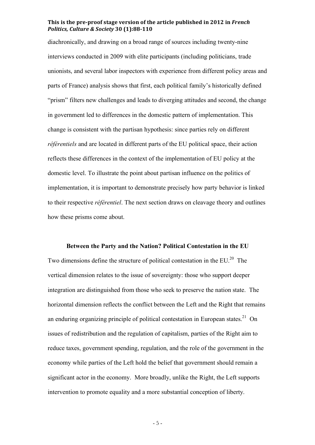diachronically, and drawing on a broad range of sources including twenty-nine interviews conducted in 2009 with elite participants (including politicians, trade unionists, and several labor inspectors with experience from different policy areas and parts of France) analysis shows that first, each political family's historically defined "prism" filters new challenges and leads to diverging attitudes and second, the change in government led to differences in the domestic pattern of implementation. This change is consistent with the partisan hypothesis: since parties rely on different *référentiels* and are located in different parts of the EU political space, their action reflects these differences in the context of the implementation of EU policy at the domestic level. To illustrate the point about partisan influence on the politics of implementation, it is important to demonstrate precisely how party behavior is linked to their respective *référentiel*. The next section draws on cleavage theory and outlines how these prisms come about.

#### **Between the Party and the Nation? Political Contestation in the EU**

Two dimensions define the structure of political contestation in the  $EU^{20}$ . The vertical dimension relates to the issue of sovereignty: those who support deeper integration are distinguished from those who seek to preserve the nation state. The horizontal dimension reflects the conflict between the Left and the Right that remains an enduring organizing principle of political contestation in European states.<sup>21</sup> On issues of redistribution and the regulation of capitalism, parties of the Right aim to reduce taxes, government spending, regulation, and the role of the government in the economy while parties of the Left hold the belief that government should remain a significant actor in the economy. More broadly, unlike the Right, the Left supports intervention to promote equality and a more substantial conception of liberty.

- 5 -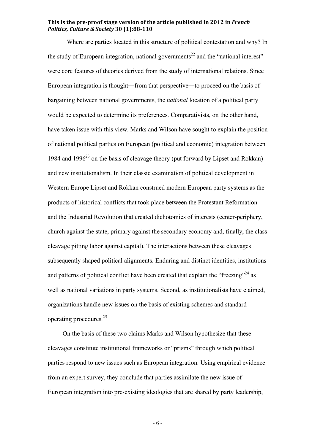Where are parties located in this structure of political contestation and why? In the study of European integration, national governments<sup>22</sup> and the "national interest" were core features of theories derived from the study of international relations. Since European integration is thought―from that perspective―to proceed on the basis of bargaining between national governments, the *national* location of a political party would be expected to determine its preferences. Comparativists, on the other hand, have taken issue with this view. Marks and Wilson have sought to explain the position of national political parties on European (political and economic) integration between 1984 and 1996<sup>23</sup> on the basis of cleavage theory (put forward by Lipset and Rokkan) and new institutionalism. In their classic examination of political development in Western Europe Lipset and Rokkan construed modern European party systems as the products of historical conflicts that took place between the Protestant Reformation and the Industrial Revolution that created dichotomies of interests (center-periphery, church against the state, primary against the secondary economy and, finally, the class cleavage pitting labor against capital). The interactions between these cleavages subsequently shaped political alignments. Enduring and distinct identities, institutions and patterns of political conflict have been created that explain the "freezing"<sup>24</sup> as well as national variations in party systems. Second, as institutionalists have claimed, organizations handle new issues on the basis of existing schemes and standard operating procedures. 25

On the basis of these two claims Marks and Wilson hypothesize that these cleavages constitute institutional frameworks or "prisms" through which political parties respond to new issues such as European integration. Using empirical evidence from an expert survey, they conclude that parties assimilate the new issue of European integration into pre-existing ideologies that are shared by party leadership,

- 6 -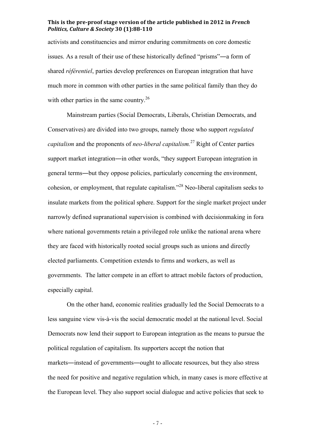activists and constituencies and mirror enduring commitments on core domestic issues. As a result of their use of these historically defined "prisms"―a form of shared *référentiel*, parties develop preferences on European integration that have much more in common with other parties in the same political family than they do with other parties in the same country.<sup>26</sup>

Mainstream parties (Social Democrats, Liberals, Christian Democrats, and Conservatives) are divided into two groups, namely those who support *regulated capitalism* and the proponents of *neo-liberal capitalism.* 27 Right of Center parties support market integration―in other words, "they support European integration in general terms―but they oppose policies, particularly concerning the environment, cohesion, or employment, that regulate capitalism." <sup>28</sup> Neo-liberal capitalism seeks to insulate markets from the political sphere. Support for the single market project under narrowly defined supranational supervision is combined with decisionmaking in fora where national governments retain a privileged role unlike the national arena where they are faced with historically rooted social groups such as unions and directly elected parliaments. Competition extends to firms and workers, as well as governments. The latter compete in an effort to attract mobile factors of production, especially capital.

On the other hand, economic realities gradually led the Social Democrats to a less sanguine view vis-à-vis the social democratic model at the national level. Social Democrats now lend their support to European integration as the means to pursue the political regulation of capitalism. Its supporters accept the notion that markets―instead of governments―ought to allocate resources, but they also stress the need for positive and negative regulation which, in many cases is more effective at the European level. They also support social dialogue and active policies that seek to

- 7 -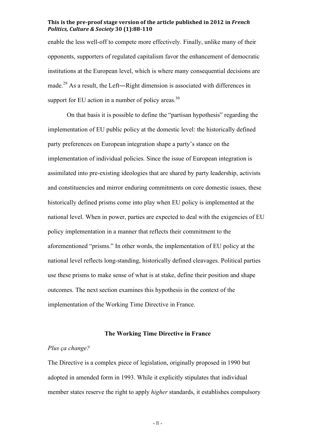enable the less well-off to compete more effectively. Finally, unlike many of their opponents, supporters of regulated capitalism favor the enhancement of democratic institutions at the European level, which is where many consequential decisions are made.<sup>29</sup> As a result, the Left—Right dimension is associated with differences in support for EU action in a number of policy areas. $30$ 

On that basis it is possible to define the "partisan hypothesis" regarding the implementation of EU public policy at the domestic level: the historically defined party preferences on European integration shape a party's stance on the implementation of individual policies. Since the issue of European integration is assimilated into pre-existing ideologies that are shared by party leadership, activists and constituencies and mirror enduring commitments on core domestic issues, these historically defined prisms come into play when EU policy is implemented at the national level. When in power, parties are expected to deal with the exigencies of EU policy implementation in a manner that reflects their commitment to the aforementioned "prisms." In other words, the implementation of EU policy at the national level reflects long-standing, historically defined cleavages. Political parties use these prisms to make sense of what is at stake, define their position and shape outcomes. The next section examines this hypothesis in the context of the implementation of the Working Time Directive in France.

#### **The Working Time Directive in France**

# *Plus ça change?*

The Directive is a complex piece of legislation, originally proposed in 1990 but adopted in amended form in 1993. While it explicitly stipulates that individual member states reserve the right to apply *higher* standards, it establishes compulsory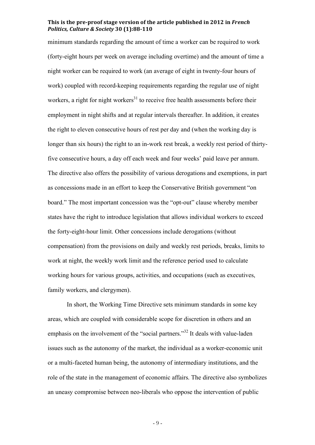minimum standards regarding the amount of time a worker can be required to work (forty-eight hours per week on average including overtime) and the amount of time a night worker can be required to work (an average of eight in twenty-four hours of work) coupled with record-keeping requirements regarding the regular use of night workers, a right for night workers<sup>31</sup> to receive free health assessments before their employment in night shifts and at regular intervals thereafter. In addition, it creates the right to eleven consecutive hours of rest per day and (when the working day is longer than six hours) the right to an in-work rest break, a weekly rest period of thirtyfive consecutive hours, a day off each week and four weeks' paid leave per annum. The directive also offers the possibility of various derogations and exemptions, in part as concessions made in an effort to keep the Conservative British government "on board." The most important concession was the "opt-out" clause whereby member states have the right to introduce legislation that allows individual workers to exceed the forty-eight-hour limit. Other concessions include derogations (without compensation) from the provisions on daily and weekly rest periods, breaks, limits to work at night, the weekly work limit and the reference period used to calculate working hours for various groups, activities, and occupations (such as executives, family workers, and clergymen).

In short, the Working Time Directive sets minimum standards in some key areas, which are coupled with considerable scope for discretion in others and an emphasis on the involvement of the "social partners."<sup>32</sup> It deals with value-laden issues such as the autonomy of the market, the individual as a worker-economic unit or a multi-faceted human being, the autonomy of intermediary institutions, and the role of the state in the management of economic affairs. The directive also symbolizes an uneasy compromise between neo-liberals who oppose the intervention of public

- 9 -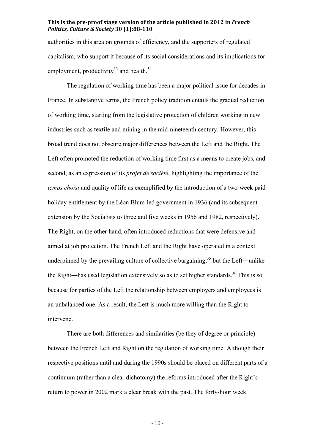authorities in this area on grounds of efficiency, and the supporters of regulated capitalism, who support it because of its social considerations and its implications for employment, productivity<sup>33</sup> and health.<sup>34</sup>

The regulation of working time has been a major political issue for decades in France. In substantive terms, the French policy tradition entails the gradual reduction of working time, starting from the legislative protection of children working in new industries such as textile and mining in the mid-nineteenth century. However, this broad trend does not obscure major differences between the Left and the Right. The Left often promoted the reduction of working time first as a means to create jobs, and second, as an expression of its *projet de société*, highlighting the importance of the *temps choisi* and quality of life as exemplified by the introduction of a two-week paid holiday entitlement by the Léon Blum-led government in 1936 (and its subsequent extension by the Socialists to three and five weeks in 1956 and 1982, respectively). The Right, on the other hand, often introduced reductions that were defensive and aimed at job protection. The French Left and the Right have operated in a context underpinned by the prevailing culture of collective bargaining,  $35$  but the Left—unlike the Right—has used legislation extensively so as to set higher standards.<sup>36</sup> This is so because for parties of the Left the relationship between employers and employees is an unbalanced one. As a result, the Left is much more willing than the Right to intervene.

There are both differences and similarities (be they of degree or principle) between the French Left and Right on the regulation of working time. Although their respective positions until and during the 1990s should be placed on different parts of a continuum (rather than a clear dichotomy) the reforms introduced after the Right's return to power in 2002 mark a clear break with the past. The forty-hour week

- 10 -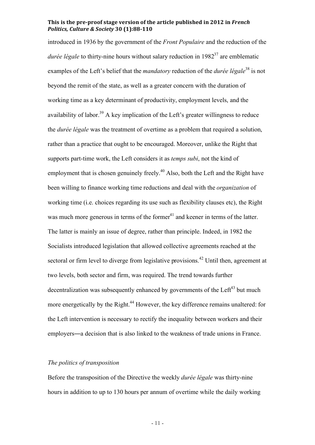introduced in 1936 by the government of the *Front Populaire* and the reduction of the *durée légale* to thirty-nine hours without salary reduction in 1982<sup>37</sup> are emblematic examples of the Left's belief that the *mandatory* reduction of the *durée légale*<sup>38</sup> is not beyond the remit of the state, as well as a greater concern with the duration of working time as a key determinant of productivity, employment levels, and the availability of labor.<sup>39</sup> A key implication of the Left's greater willingness to reduce the *durée légale* was the treatment of overtime as a problem that required a solution, rather than a practice that ought to be encouraged. Moreover, unlike the Right that supports part-time work, the Left considers it as *temps subi*, not the kind of employment that is chosen genuinely freely.<sup>40</sup> Also, both the Left and the Right have been willing to finance working time reductions and deal with the *organization* of working time (i.e. choices regarding its use such as flexibility clauses etc), the Right was much more generous in terms of the former $41$  and keener in terms of the latter. The latter is mainly an issue of degree, rather than principle. Indeed, in 1982 the Socialists introduced legislation that allowed collective agreements reached at the sectoral or firm level to diverge from legislative provisions.<sup>42</sup> Until then, agreement at two levels, both sector and firm, was required. The trend towards further decentralization was subsequently enhanced by governments of the Left<sup>43</sup> but much more energetically by the Right.<sup>44</sup> However, the key difference remains unaltered: for the Left intervention is necessary to rectify the inequality between workers and their employers―a decision that is also linked to the weakness of trade unions in France.

# *The politics of transposition*

Before the transposition of the Directive the weekly *durée légale* was thirty-nine hours in addition to up to 130 hours per annum of overtime while the daily working

- 11 -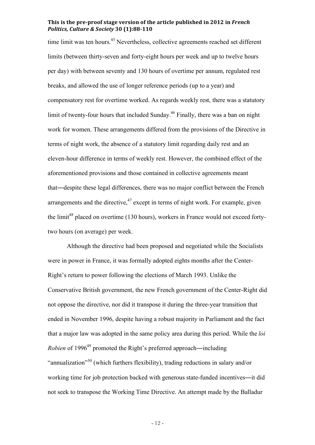time limit was ten hours.<sup>45</sup> Nevertheless, collective agreements reached set different limits (between thirty-seven and forty-eight hours per week and up to twelve hours per day) with between seventy and 130 hours of overtime per annum, regulated rest breaks, and allowed the use of longer reference periods (up to a year) and compensatory rest for overtime worked. As regards weekly rest, there was a statutory limit of twenty-four hours that included Sunday.<sup>46</sup> Finally, there was a ban on night work for women. These arrangements differed from the provisions of the Directive in terms of night work, the absence of a statutory limit regarding daily rest and an eleven-hour difference in terms of weekly rest. However, the combined effect of the aforementioned provisions and those contained in collective agreements meant that―despite these legal differences, there was no major conflict between the French arrangements and the directive, $47$  except in terms of night work. For example, given the limit<sup>48</sup> placed on overtime  $(130 \text{ hours})$ , workers in France would not exceed fortytwo hours (on average) per week.

Although the directive had been proposed and negotiated while the Socialists were in power in France, it was formally adopted eights months after the Center-Right's return to power following the elections of March 1993. Unlike the Conservative British government, the new French government of the Center-Right did not oppose the directive, nor did it transpose it during the three-year transition that ended in November 1996, despite having a robust majority in Parliament and the fact that a major law was adopted in the same policy area during this period. While the *loi Robien* of 1996<sup>49</sup> promoted the Right's preferred approach—including "annualization"<sup>50</sup> (which furthers flexibility), trading reductions in salary and/or working time for job protection backed with generous state-funded incentives―it did not seek to transpose the Working Time Directive. An attempt made by the Balladur

- 12 -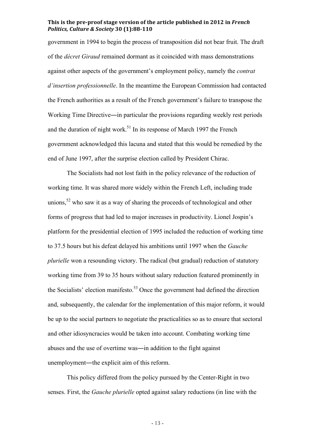government in 1994 to begin the process of transposition did not bear fruit. The draft of the *décret Giraud* remained dormant as it coincided with mass demonstrations against other aspects of the government's employment policy, namely the *contrat d'insertion professionnelle*. In the meantime the European Commission had contacted the French authorities as a result of the French government's failure to transpose the Working Time Directive—in particular the provisions regarding weekly rest periods and the duration of night work.<sup>51</sup> In its response of March 1997 the French government acknowledged this lacuna and stated that this would be remedied by the end of June 1997, after the surprise election called by President Chirac.

The Socialists had not lost faith in the policy relevance of the reduction of working time. It was shared more widely within the French Left, including trade unions,<sup>52</sup> who saw it as a way of sharing the proceeds of technological and other forms of progress that had led to major increases in productivity. Lionel Jospin's platform for the presidential election of 1995 included the reduction of working time to 37.5 hours but his defeat delayed his ambitions until 1997 when the *Gauche plurielle* won a resounding victory. The radical (but gradual) reduction of statutory working time from 39 to 35 hours without salary reduction featured prominently in the Socialists' election manifesto.<sup>53</sup> Once the government had defined the direction and, subsequently, the calendar for the implementation of this major reform, it would be up to the social partners to negotiate the practicalities so as to ensure that sectoral and other idiosyncracies would be taken into account. Combating working time abuses and the use of overtime was―in addition to the fight against unemployment—the explicit aim of this reform.

This policy differed from the policy pursued by the Center-Right in two senses. First, the *Gauche plurielle* opted against salary reductions (in line with the

- 13 -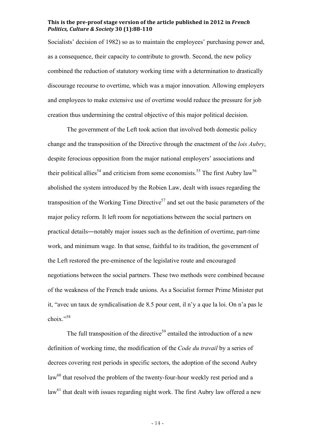Socialists' decision of 1982) so as to maintain the employees' purchasing power and, as a consequence, their capacity to contribute to growth. Second, the new policy combined the reduction of statutory working time with a determination to drastically discourage recourse to overtime, which was a major innovation. Allowing employers and employees to make extensive use of overtime would reduce the pressure for job creation thus undermining the central objective of this major political decision.

The government of the Left took action that involved both domestic policy change and the transposition of the Directive through the enactment of the *lois Aubry*, despite ferocious opposition from the major national employers' associations and their political allies<sup>54</sup> and criticism from some economists.<sup>55</sup> The first Aubry law<sup>56</sup> abolished the system introduced by the Robien Law, dealt with issues regarding the transposition of the Working Time Directive<sup>57</sup> and set out the basic parameters of the major policy reform. It left room for negotiations between the social partners on practical details―notably major issues such as the definition of overtime, part-time work, and minimum wage. In that sense, faithful to its tradition, the government of the Left restored the pre-eminence of the legislative route and encouraged negotiations between the social partners. These two methods were combined because of the weakness of the French trade unions. As a Socialist former Prime Minister put it, "avec un taux de syndicalisation de 8.5 pour cent, il n'y a que la loi. On n'a pas le choix." 58

The full transposition of the directive<sup>59</sup> entailed the introduction of a new definition of working time, the modification of the *Code du travail* by a series of decrees covering rest periods in specific sectors, the adoption of the second Aubry  $law<sup>60</sup>$  that resolved the problem of the twenty-four-hour weekly rest period and a  $law<sup>61</sup>$  that dealt with issues regarding night work. The first Aubry law offered a new

- 14 -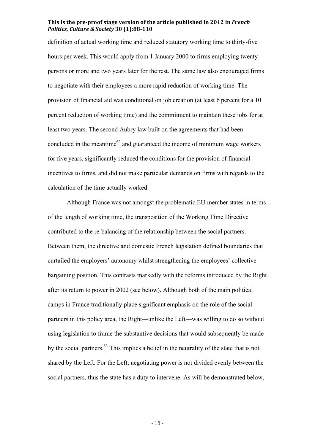definition of actual working time and reduced statutory working time to thirty-five hours per week. This would apply from 1 January 2000 to firms employing twenty persons or more and two years later for the rest. The same law also encouraged firms to negotiate with their employees a more rapid reduction of working time. The provision of financial aid was conditional on job creation (at least 6 percent for a 10 percent reduction of working time) and the commitment to maintain these jobs for at least two years. The second Aubry law built on the agreements that had been concluded in the meantime<sup>62</sup> and guaranteed the income of minimum wage workers for five years, significantly reduced the conditions for the provision of financial incentives to firms, and did not make particular demands on firms with regards to the calculation of the time actually worked.

Although France was not amongst the problematic EU member states in terms of the length of working time, the transposition of the Working Time Directive contributed to the re-balancing of the relationship between the social partners. Between them, the directive and domestic French legislation defined boundaries that curtailed the employers' autonomy whilst strengthening the employees' collective bargaining position. This contrasts markedly with the reforms introduced by the Right after its return to power in 2002 (see below). Although both of the main political camps in France traditionally place significant emphasis on the role of the social partners in this policy area, the Right―unlike the Left―was willing to do so without using legislation to frame the substantive decisions that would subsequently be made by the social partners.<sup>63</sup> This implies a belief in the neutrality of the state that is not shared by the Left. For the Left, negotiating power is not divided evenly between the social partners, thus the state has a duty to intervene. As will be demonstrated below,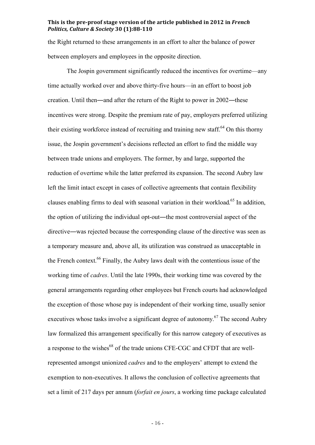the Right returned to these arrangements in an effort to alter the balance of power between employers and employees in the opposite direction.

The Jospin government significantly reduced the incentives for overtime—any time actually worked over and above thirty-five hours—in an effort to boost job creation. Until then—and after the return of the Right to power in 2002—these incentives were strong. Despite the premium rate of pay, employers preferred utilizing their existing workforce instead of recruiting and training new staff.<sup>64</sup> On this thorny issue, the Jospin government's decisions reflected an effort to find the middle way between trade unions and employers. The former, by and large, supported the reduction of overtime while the latter preferred its expansion. The second Aubry law left the limit intact except in cases of collective agreements that contain flexibility clauses enabling firms to deal with seasonal variation in their workload. 65 In addition, the option of utilizing the individual opt-out—the most controversial aspect of the directive―was rejected because the corresponding clause of the directive was seen as a temporary measure and, above all, its utilization was construed as unacceptable in the French context.<sup>66</sup> Finally, the Aubry laws dealt with the contentious issue of the working time of *cadres*. Until the late 1990s, their working time was covered by the general arrangements regarding other employees but French courts had acknowledged the exception of those whose pay is independent of their working time, usually senior executives whose tasks involve a significant degree of autonomy.<sup>67</sup> The second Aubry law formalized this arrangement specifically for this narrow category of executives as a response to the wishes<sup>68</sup> of the trade unions CFE-CGC and CFDT that are wellrepresented amongst unionized *cadres* and to the employers' attempt to extend the exemption to non-executives. It allows the conclusion of collective agreements that set a limit of 217 days per annum (*forfait en jours*, a working time package calculated

- 16 -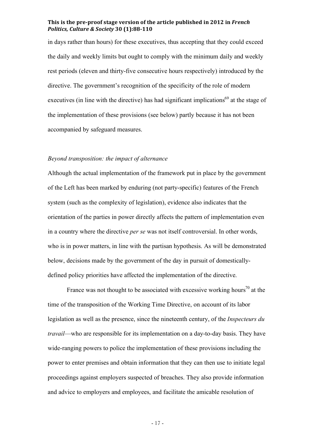in days rather than hours) for these executives, thus accepting that they could exceed the daily and weekly limits but ought to comply with the minimum daily and weekly rest periods (eleven and thirty-five consecutive hours respectively) introduced by the directive. The government's recognition of the specificity of the role of modern executives (in line with the directive) has had significant implications<sup>69</sup> at the stage of the implementation of these provisions (see below) partly because it has not been accompanied by safeguard measures.

#### *Beyond transposition: the impact of alternance*

Although the actual implementation of the framework put in place by the government of the Left has been marked by enduring (not party-specific) features of the French system (such as the complexity of legislation), evidence also indicates that the orientation of the parties in power directly affects the pattern of implementation even in a country where the directive *per se* was not itself controversial. In other words, who is in power matters, in line with the partisan hypothesis. As will be demonstrated below, decisions made by the government of the day in pursuit of domesticallydefined policy priorities have affected the implementation of the directive.

France was not thought to be associated with excessive working hours<sup>70</sup> at the time of the transposition of the Working Time Directive, on account of its labor legislation as well as the presence, since the nineteenth century, of the *Inspecteurs du travail*—who are responsible for its implementation on a day-to-day basis. They have wide-ranging powers to police the implementation of these provisions including the power to enter premises and obtain information that they can then use to initiate legal proceedings against employers suspected of breaches. They also provide information and advice to employers and employees, and facilitate the amicable resolution of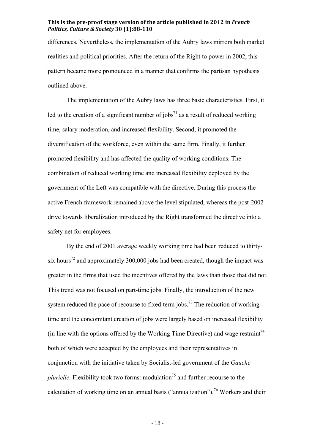differences. Nevertheless, the implementation of the Aubry laws mirrors both market realities and political priorities. After the return of the Right to power in 2002, this pattern became more pronounced in a manner that confirms the partisan hypothesis outlined above.

The implementation of the Aubry laws has three basic characteristics. First, it led to the creation of a significant number of jobs<sup>71</sup> as a result of reduced working time, salary moderation, and increased flexibility. Second, it promoted the diversification of the workforce, even within the same firm. Finally, it further promoted flexibility and has affected the quality of working conditions. The combination of reduced working time and increased flexibility deployed by the government of the Left was compatible with the directive. During this process the active French framework remained above the level stipulated, whereas the post-2002 drive towards liberalization introduced by the Right transformed the directive into a safety net for employees.

By the end of 2001 average weekly working time had been reduced to thirtysix hours<sup>72</sup> and approximately 300,000 jobs had been created, though the impact was greater in the firms that used the incentives offered by the laws than those that did not. This trend was not focused on part-time jobs. Finally, the introduction of the new system reduced the pace of recourse to fixed-term jobs.<sup>73</sup> The reduction of working time and the concomitant creation of jobs were largely based on increased flexibility (in line with the options offered by the Working Time Directive) and wage restraint<sup>74</sup> both of which were accepted by the employees and their representatives in conjunction with the initiative taken by Socialist-led government of the *Gauche plurielle*. Flexibility took two forms: modulation<sup>75</sup> and further recourse to the calculation of working time on an annual basis ("annualization"). 76 Workers and their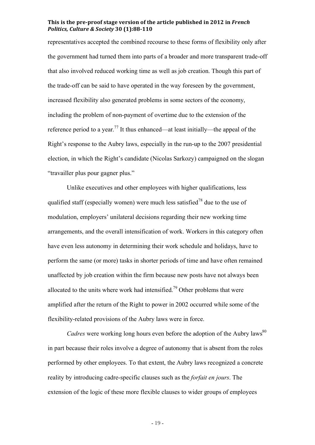representatives accepted the combined recourse to these forms of flexibility only after the government had turned them into parts of a broader and more transparent trade-off that also involved reduced working time as well as job creation. Though this part of the trade-off can be said to have operated in the way foreseen by the government, increased flexibility also generated problems in some sectors of the economy, including the problem of non-payment of overtime due to the extension of the reference period to a year.<sup>77</sup> It thus enhanced—at least initially—the appeal of the Right's response to the Aubry laws, especially in the run-up to the 2007 presidential election, in which the Right's candidate (Nicolas Sarkozy) campaigned on the slogan "travailler plus pour gagner plus."

Unlike executives and other employees with higher qualifications, less qualified staff (especially women) were much less satisfied<sup>78</sup> due to the use of modulation, employers' unilateral decisions regarding their new working time arrangements, and the overall intensification of work. Workers in this category often have even less autonomy in determining their work schedule and holidays, have to perform the same (or more) tasks in shorter periods of time and have often remained unaffected by job creation within the firm because new posts have not always been allocated to the units where work had intensified.<sup>79</sup> Other problems that were amplified after the return of the Right to power in 2002 occurred while some of the flexibility-related provisions of the Aubry laws were in force.

*Cadres* were working long hours even before the adoption of the Aubry laws<sup>80</sup> in part because their roles involve a degree of autonomy that is absent from the roles performed by other employees. To that extent, the Aubry laws recognized a concrete reality by introducing cadre-specific clauses such as the *forfait en jours*. The extension of the logic of these more flexible clauses to wider groups of employees

- 19 -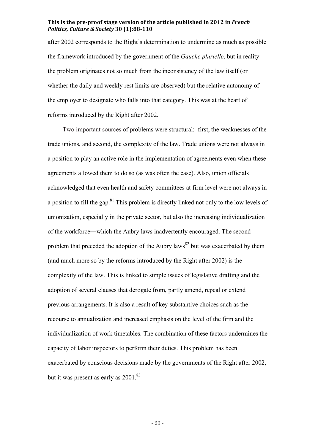after 2002 corresponds to the Right's determination to undermine as much as possible the framework introduced by the government of the *Gauche plurielle*, but in reality the problem originates not so much from the inconsistency of the law itself (or whether the daily and weekly rest limits are observed) but the relative autonomy of the employer to designate who falls into that category. This was at the heart of reforms introduced by the Right after 2002.

Two important sources of problems were structural: first, the weaknesses of the trade unions, and second, the complexity of the law. Trade unions were not always in a position to play an active role in the implementation of agreements even when these agreements allowed them to do so (as was often the case). Also, union officials acknowledged that even health and safety committees at firm level were not always in a position to fill the gap.<sup>81</sup> This problem is directly linked not only to the low levels of unionization, especially in the private sector, but also the increasing individualization of the workforce―which the Aubry laws inadvertently encouraged. The second problem that preceded the adoption of the Aubry laws<sup>82</sup> but was exacerbated by them (and much more so by the reforms introduced by the Right after 2002) is the complexity of the law. This is linked to simple issues of legislative drafting and the adoption of several clauses that derogate from, partly amend, repeal or extend previous arrangements. It is also a result of key substantive choices such as the recourse to annualization and increased emphasis on the level of the firm and the individualization of work timetables. The combination of these factors undermines the capacity of labor inspectors to perform their duties. This problem has been exacerbated by conscious decisions made by the governments of the Right after 2002, but it was present as early as 2001.<sup>83</sup>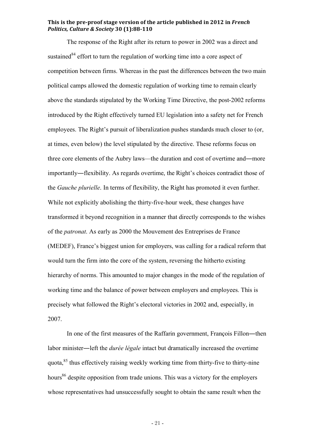The response of the Right after its return to power in 2002 was a direct and sustained  $84$  effort to turn the regulation of working time into a core aspect of competition between firms. Whereas in the past the differences between the two main political camps allowed the domestic regulation of working time to remain clearly above the standards stipulated by the Working Time Directive, the post-2002 reforms introduced by the Right effectively turned EU legislation into a safety net for French employees. The Right's pursuit of liberalization pushes standards much closer to (or, at times, even below) the level stipulated by the directive. These reforms focus on three core elements of the Aubry laws—the duration and cost of overtime and―more importantly―flexibility. As regards overtime, the Right's choices contradict those of the *Gauche plurielle*. In terms of flexibility, the Right has promoted it even further. While not explicitly abolishing the thirty-five-hour week, these changes have transformed it beyond recognition in a manner that directly corresponds to the wishes of the *patronat*. As early as 2000 the Mouvement des Entreprises de France (MEDEF), France's biggest union for employers, was calling for a radical reform that would turn the firm into the core of the system, reversing the hitherto existing hierarchy of norms. This amounted to major changes in the mode of the regulation of working time and the balance of power between employers and employees. This is precisely what followed the Right's electoral victories in 2002 and, especially, in 2007.

In one of the first measures of the Raffarin government, François Fillon―then labor minister―left the *durée légale* intact but dramatically increased the overtime quota,<sup>85</sup> thus effectively raising weekly working time from thirty-five to thirty-nine hours<sup>86</sup> despite opposition from trade unions. This was a victory for the employers whose representatives had unsuccessfully sought to obtain the same result when the

- 21 -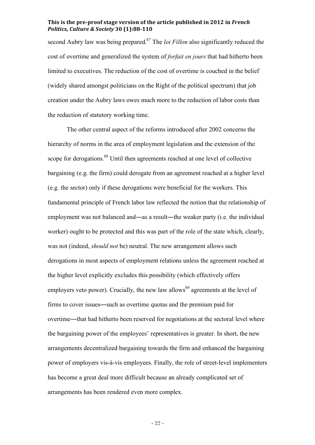second Aubry law was being prepared. 87 The *loi Fillon* also significantly reduced the cost of overtime and generalized the system of *forfait en jours* that had hitherto been limited to executives. The reduction of the cost of overtime is couched in the belief (widely shared amongst politicians on the Right of the political spectrum) that job creation under the Aubry laws owes much more to the reduction of labor costs than the reduction of statutory working time.

The other central aspect of the reforms introduced after 2002 concerns the hierarchy of norms in the area of employment legislation and the extension of the scope for derogations.<sup>88</sup> Until then agreements reached at one level of collective bargaining (e.g. the firm) could derogate from an agreement reached at a higher level (e.g. the sector) only if these derogations were beneficial for the workers. This fundamental principle of French labor law reflected the notion that the relationship of employment was not balanced and—as a result—the weaker party (i.e. the individual worker) ought to be protected and this was part of the role of the state which, clearly, was not (indeed, *should not* be) neutral. The new arrangement allows such derogations in most aspects of employment relations unless the agreement reached at the higher level explicitly excludes this possibility (which effectively offers employers veto power). Crucially, the new law allows<sup>89</sup> agreements at the level of firms to cover issues―such as overtime quotas and the premium paid for overtime―that had hitherto been reserved for negotiations at the sectoral level where the bargaining power of the employees' representatives is greater. In short, the new arrangements decentralized bargaining towards the firm and enhanced the bargaining power of employers vis-à-vis employees. Finally, the role of street-level implementers has become a great deal more difficult because an already complicated set of arrangements has been rendered even more complex.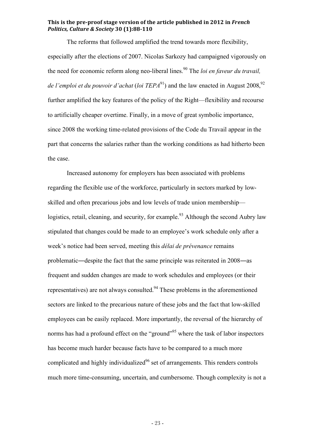The reforms that followed amplified the trend towards more flexibility, especially after the elections of 2007. Nicolas Sarkozy had campaigned vigorously on the need for economic reform along neo-liberal lines. <sup>90</sup> The *loi en faveur du travail,*  de *l'emploi et du pouvoir d'achat* (loi TEPA<sup>91</sup>) and the law enacted in August 2008,<sup>92</sup> further amplified the key features of the policy of the Right—flexibility and recourse to artificially cheaper overtime. Finally, in a move of great symbolic importance, since 2008 the working time-related provisions of the Code du Travail appear in the part that concerns the salaries rather than the working conditions as had hitherto been the case.

Increased autonomy for employers has been associated with problems regarding the flexible use of the workforce, particularly in sectors marked by lowskilled and often precarious jobs and low levels of trade union membership logistics, retail, cleaning, and security, for example.<sup>93</sup> Although the second Aubry law stipulated that changes could be made to an employee's work schedule only after a week's notice had been served, meeting this *délai de prévenance* remains problematic―despite the fact that the same principle was reiterated in 2008―as frequent and sudden changes are made to work schedules and employees (or their representatives) are not always consulted.<sup>94</sup> These problems in the aforementioned sectors are linked to the precarious nature of these jobs and the fact that low-skilled employees can be easily replaced. More importantly, the reversal of the hierarchy of norms has had a profound effect on the "ground"<sup>95</sup> where the task of labor inspectors has become much harder because facts have to be compared to a much more complicated and highly individualized<sup>96</sup> set of arrangements. This renders controls much more time-consuming, uncertain, and cumbersome. Though complexity is not a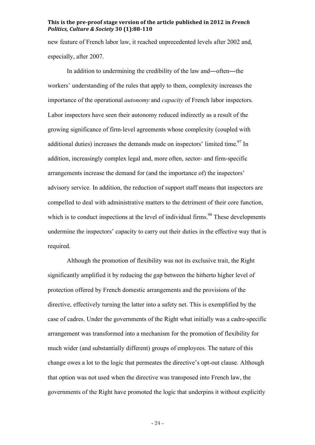new feature of French labor law, it reached unprecedented levels after 2002 and, especially, after 2007.

In addition to undermining the credibility of the law and―often―the workers' understanding of the rules that apply to them, complexity increases the importance of the operational *autonomy* and *capacity* of French labor inspectors. Labor inspectors have seen their autonomy reduced indirectly as a result of the growing significance of firm-level agreements whose complexity (coupled with additional duties) increases the demands made on inspectors' limited time.<sup>97</sup> In addition, increasingly complex legal and, more often, sector- and firm-specific arrangements increase the demand for (and the importance of) the inspectors' advisory service. In addition, the reduction of support staff means that inspectors are compelled to deal with administrative matters to the detriment of their core function, which is to conduct inspections at the level of individual firms.<sup>98</sup> These developments undermine the inspectors' capacity to carry out their duties in the effective way that is required.

Although the promotion of flexibility was not its exclusive trait, the Right significantly amplified it by reducing the gap between the hitherto higher level of protection offered by French domestic arrangements and the provisions of the directive, effectively turning the latter into a safety net. This is exemplified by the case of cadres. Under the governments of the Right what initially was a cadre-specific arrangement was transformed into a mechanism for the promotion of flexibility for much wider (and substantially different) groups of employees. The nature of this change owes a lot to the logic that permeates the directive's opt-out clause. Although that option was not used when the directive was transposed into French law, the governments of the Right have promoted the logic that underpins it without explicitly

- 24 -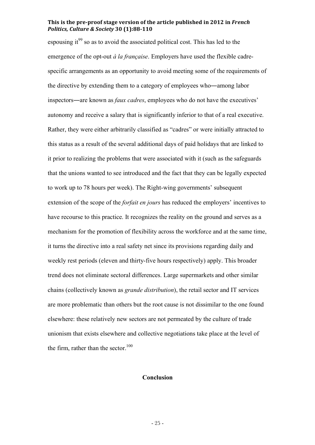espousing it<sup>99</sup> so as to avoid the associated political cost. This has led to the emergence of the opt-out *à la française*. Employers have used the flexible cadrespecific arrangements as an opportunity to avoid meeting some of the requirements of the directive by extending them to a category of employees who―among labor inspectors―are known as *faux cadres*, employees who do not have the executives' autonomy and receive a salary that is significantly inferior to that of a real executive. Rather, they were either arbitrarily classified as "cadres" or were initially attracted to this status as a result of the several additional days of paid holidays that are linked to it prior to realizing the problems that were associated with it (such as the safeguards that the unions wanted to see introduced and the fact that they can be legally expected to work up to 78 hours per week). The Right-wing governments' subsequent extension of the scope of the *forfait en jours* has reduced the employers' incentives to have recourse to this practice. It recognizes the reality on the ground and serves as a mechanism for the promotion of flexibility across the workforce and at the same time, it turns the directive into a real safety net since its provisions regarding daily and weekly rest periods (eleven and thirty-five hours respectively) apply. This broader trend does not eliminate sectoral differences. Large supermarkets and other similar chains (collectively known as *grande distribution*), the retail sector and IT services are more problematic than others but the root cause is not dissimilar to the one found elsewhere: these relatively new sectors are not permeated by the culture of trade unionism that exists elsewhere and collective negotiations take place at the level of the firm, rather than the sector. $100$ 

#### **Conclusion**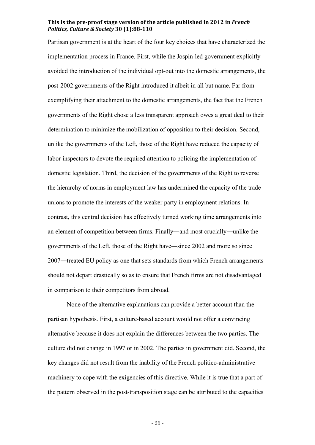Partisan government is at the heart of the four key choices that have characterized the implementation process in France. First, while the Jospin-led government explicitly avoided the introduction of the individual opt-out into the domestic arrangements, the post-2002 governments of the Right introduced it albeit in all but name. Far from exemplifying their attachment to the domestic arrangements, the fact that the French governments of the Right chose a less transparent approach owes a great deal to their determination to minimize the mobilization of opposition to their decision. Second, unlike the governments of the Left, those of the Right have reduced the capacity of labor inspectors to devote the required attention to policing the implementation of domestic legislation. Third, the decision of the governments of the Right to reverse the hierarchy of norms in employment law has undermined the capacity of the trade unions to promote the interests of the weaker party in employment relations. In contrast, this central decision has effectively turned working time arrangements into an element of competition between firms. Finally―and most crucially―unlike the governments of the Left, those of the Right have―since 2002 and more so since 2007―treated EU policy as one that sets standards from which French arrangements should not depart drastically so as to ensure that French firms are not disadvantaged in comparison to their competitors from abroad.

None of the alternative explanations can provide a better account than the partisan hypothesis. First, a culture-based account would not offer a convincing alternative because it does not explain the differences between the two parties. The culture did not change in 1997 or in 2002. The parties in government did. Second, the key changes did not result from the inability of the French politico-administrative machinery to cope with the exigencies of this directive. While it is true that a part of the pattern observed in the post-transposition stage can be attributed to the capacities

- 26 -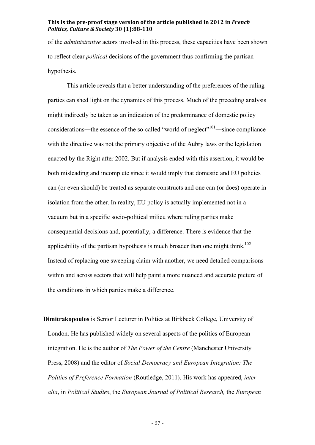of the *administrative* actors involved in this process, these capacities have been shown to reflect clear *political* decisions of the government thus confirming the partisan hypothesis.

This article reveals that a better understanding of the preferences of the ruling parties can shed light on the dynamics of this process. Much of the preceding analysis might indirectly be taken as an indication of the predominance of domestic policy considerations—the essence of the so-called "world of neglect"<sup>101</sup>—since compliance with the directive was not the primary objective of the Aubry laws or the legislation enacted by the Right after 2002. But if analysis ended with this assertion, it would be both misleading and incomplete since it would imply that domestic and EU policies can (or even should) be treated as separate constructs and one can (or does) operate in isolation from the other. In reality, EU policy is actually implemented not in a vacuum but in a specific socio-political milieu where ruling parties make consequential decisions and, potentially, a difference. There is evidence that the applicability of the partisan hypothesis is much broader than one might think.<sup>102</sup> Instead of replacing one sweeping claim with another, we need detailed comparisons within and across sectors that will help paint a more nuanced and accurate picture of the conditions in which parties make a difference.

**Dimitrakopoulos** is Senior Lecturer in Politics at Birkbeck College, University of London. He has published widely on several aspects of the politics of European integration. He is the author of *The Power of the Centre* (Manchester University Press, 2008) and the editor of *Social Democracy and European Integration: The Politics of Preference Formation* (Routledge, 2011). His work has appeared, *inter alia*, in *Political Studies*, the *European Journal of Political Research,* the *European* 

- 27 -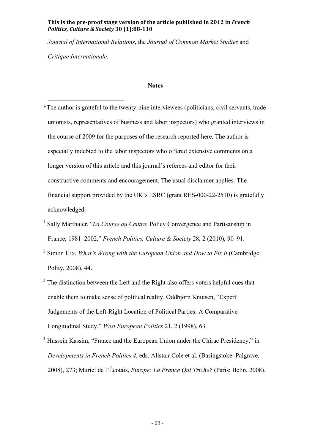*Journal of International Relations*, the *Journal of Common Market Studies* and *Critique Internationale*.

# **Notes**

- $\overline{a}$ \*The author is grateful to the twenty-nine interviewees (politicians, civil servants, trade unionists, representatives of business and labor inspectors) who granted interviews in the course of 2009 for the purposes of the research reported here. The author is especially indebted to the labor inspectors who offered extensive comments on a longer version of this article and this journal's referees and editor for their constructive comments and encouragement. The usual disclaimer applies. The financial support provided by the UK's ESRC (grant RES-000-22-2510) is gratefully acknowledged.
- 1 Sally Marthaler, "*La Course au Centre*: Policy Convergence and Partisanship in France, 1981–2002," *French Politics, Culture & Society* 28, 2 (2010), 90–91.
- <sup>2</sup> Simon Hix, *What's Wrong with the European Union and How to Fix it* (Cambridge: Polity, 2008), 44.
- $3$  The distinction between the Left and the Right also offers voters helpful cues that enable them to make sense of political reality. Oddbjørn Knutsen, "Expert Judgements of the Left-Right Location of Political Parties: A Comparative Longitudinal Study," *West European Politics* 21, 2 (1998), 63.
- 4 Hussein Kassim, "France and the European Union under the Chirac Presidency," in *Developments in French Politics 4*, eds. Alistair Cole et al. (Basingstoke: Palgrave, 2008), 273; Muriel de l'Écotais, *Europe: La France Qui Triche?* (Paris: Belin, 2008).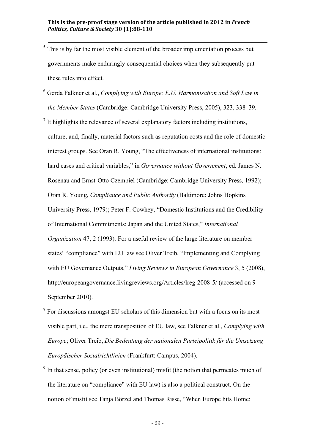- $5\frac{1}{10}$  This is by far the most visible element of the broader implementation process but governments make enduringly consequential choices when they subsequently put these rules into effect.
- <sup>6</sup> Gerda Falkner et al., *Complying with Europe: E.U. Harmonisation and Soft Law in the Member States* (Cambridge: Cambridge University Press, 2005), 323, 338–39.
- $<sup>7</sup>$  It highlights the relevance of several explanatory factors including institutions,</sup> culture, and, finally, material factors such as reputation costs and the role of domestic interest groups. See Oran R. Young, "The effectiveness of international institutions: hard cases and critical variables," in *Governance without Government*, ed. James N. Rosenau and Ernst-Otto Czempiel (Cambridge: Cambridge University Press, 1992); Oran R. Young, *Compliance and Public Authority* (Baltimore: Johns Hopkins University Press, 1979); Peter F. Cowhey, "Domestic Institutions and the Credibility of International Commitments: Japan and the United States," *International Organization* 47, 2 (1993). For a useful review of the large literature on member states' "compliance" with EU law see Oliver Treib, "Implementing and Complying with EU Governance Outputs," *Living Reviews in European Governance* 3, 5 (2008), http://europeangovernance.livingreviews.org/Articles/lreg-2008-5/ (accessed on 9 September 2010).
- 8 For discussions amongst EU scholars of this dimension but with a focus on its most visible part, i.e., the mere transposition of EU law, see Falkner et al., *Complying with Europe*; Oliver Treib, *Die Bedeutung der nationalen Parteipolitik für die Umsetzung Europäischer Sozialrichtlinien* (Frankfurt: Campus, 2004).
- <sup>9</sup> In that sense, policy (or even institutional) misfit (the notion that permeates much of the literature on "compliance" with EU law) is also a political construct. On the notion of misfit see Tanja Börzel and Thomas Risse, "When Europe hits Home: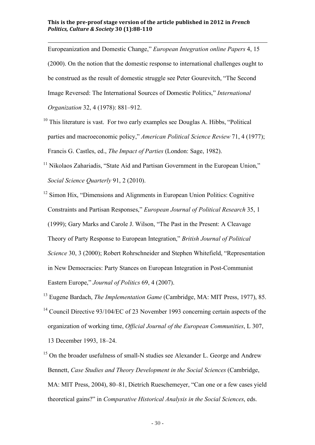$\overline{a}$ 

Europeanization and Domestic Change," *European Integration online Papers* 4, 15 (2000). On the notion that the domestic response to international challenges ought to be construed as the result of domestic struggle see Peter Gourevitch, "The Second Image Reversed: The International Sources of Domestic Politics," *International Organization* 32, 4 (1978): 881–912.

- $10$  This literature is vast. For two early examples see Douglas A. Hibbs, "Political parties and macroeconomic policy," *American Political Science Review* 71, 4 (1977); Francis G. Castles, ed., *The Impact of Parties* (London: Sage, 1982).
- $11$  Nikolaos Zahariadis, "State Aid and Partisan Government in the European Union," *Social Science Quarterly* 91, 2 (2010).
- <sup>12</sup> Simon Hix, "Dimensions and Alignments in European Union Politics: Cognitive Constraints and Partisan Responses," *European Journal of Political Research* 35, 1 (1999); Gary Marks and Carole J. Wilson, "The Past in the Present: A Cleavage Theory of Party Response to European Integration," *British Journal of Political Science* 30, 3 (2000); Robert Rohrschneider and Stephen Whitefield, "Representation in New Democracies: Party Stances on European Integration in Post-Communist Eastern Europe," *Journal of Politics* 69, 4 (2007).
- 13 Eugene Bardach, *The Implementation Game* (Cambridge, MA: MIT Press, 1977), 85.
- <sup>14</sup> Council Directive 93/104/EC of 23 November 1993 concerning certain aspects of the organization of working time, *Official Journal of the European Communities*, L 307, 13 December 1993, 18–24.
- <sup>15</sup> On the broader usefulness of small-N studies see Alexander L. George and Andrew Bennett, *Case Studies and Theory Development in the Social Sciences* (Cambridge, MA: MIT Press, 2004), 80–81, Dietrich Rueschemeyer, "Can one or a few cases yield theoretical gains?" in *Comparative Historical Analysis in the Social Sciences*, eds.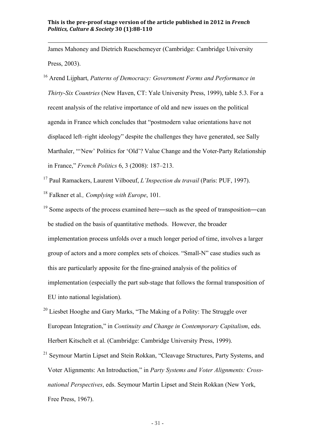$\overline{a}$ 

James Mahoney and Dietrich Rueschemeyer (Cambridge: Cambridge University Press, 2003).

16 Arend Lijphart, *Patterns of Democracy: Government Forms and Performance in Thirty-Six Countries* (New Haven, CT: Yale University Press, 1999), table 5.3. For a recent analysis of the relative importance of old and new issues on the political agenda in France which concludes that "postmodern value orientations have not displaced left–right ideology" despite the challenges they have generated, see Sally Marthaler, "'New' Politics for 'Old'? Value Change and the Voter-Party Relationship in France," *French Politics* 6, 3 (2008): 187–213.

17 Paul Ramackers, Laurent Vilboeuf, *L'Inspection du travail* (Paris: PUF, 1997). 18 Falkner et al*., Complying with Europe*, 101.

- <sup>19</sup> Some aspects of the process examined here—such as the speed of transposition—can be studied on the basis of quantitative methods. However, the broader implementation process unfolds over a much longer period of time, involves a larger group of actors and a more complex sets of choices. "Small-N" case studies such as this are particularly apposite for the fine-grained analysis of the politics of implementation (especially the part sub-stage that follows the formal transposition of EU into national legislation).
- $20$  Liesbet Hooghe and Gary Marks, "The Making of a Polity: The Struggle over European Integration," in *Continuity and Change in Contemporary Capitalism*, eds. Herbert Kitschelt et al. (Cambridge: Cambridge University Press, 1999).
- <sup>21</sup> Seymour Martin Lipset and Stein Rokkan, "Cleavage Structures, Party Systems, and Voter Alignments: An Introduction," in *Party Systems and Voter Alignments: Crossnational Perspectives*, eds. Seymour Martin Lipset and Stein Rokkan (New York, Free Press, 1967).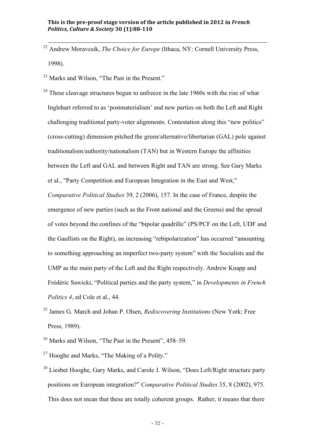22 Andrew Moravcsik, *The Choice for Europe* (Ithaca, NY: Cornell University Press, 1998).

<sup>23</sup> Marks and Wilson, "The Past in the Present."

 $24$  These cleavage structures begun to unfreeze in the late 1960s with the rise of what Inglehart referred to as 'postmaterialism' and new parties on both the Left and Right challenging traditional party-voter alignments. Contestation along this "new politics" (cross-cutting) dimension pitched the green/alternative/libertarian (GAL) pole against traditionalism/authority/nationalism (TAN) but in Western Europe the affinities between the Left and GAL and between Right and TAN are strong. See Gary Marks et al., "Party Competition and European Integration in the East and West," *Comparative Political Studies* 39, 2 (2006), 157. In the case of France, despite the emergence of new parties (such as the Front national and the Greens) and the spread of votes beyond the confines of the "bipolar quadrille" (PS/PCF on the Left, UDF and the Gaullists on the Right), an increasing "rebipolarization" has occurred "amounting to something approaching an imperfect two-party system" with the Socialists and the UMP as the main party of the Left and the Right respectively. Andrew Knapp and Frédéric Sawicki, "Political parties and the party system," in *Developments in French Politics 4*, ed Cole et al., 44.

- 25 James G. March and Johan P. Olsen, *Rediscovering Institutions* (New York: Free Press, 1989).
- 26 Marks and Wilson, "The Past in the Present", 458–59*.*
- $27$  Hooghe and Marks, "The Making of a Polity."
- <sup>28</sup> Liesbet Hooghe, Gary Marks, and Carole J. Wilson, "Does Left/Right structure party positions on European integration?" *Comparative Political Studies* 35, 8 (2002), 975. This does not mean that these are totally coherent groups. Rather, it means that there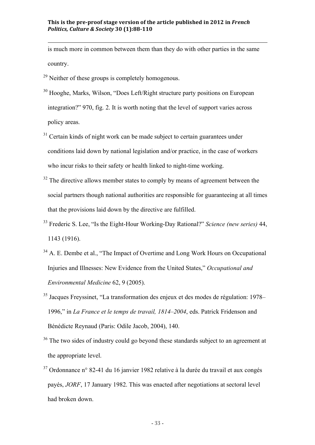is much more in common between them than they do with other parties in the same country.

 $^{29}$  Neither of these groups is completely homogenous.

 $\overline{a}$ 

- <sup>30</sup> Hooghe, Marks, Wilson, "Does Left/Right structure party positions on European integration?" 970, fig. 2. It is worth noting that the level of support varies across policy areas.
- $31$  Certain kinds of night work can be made subject to certain guarantees under conditions laid down by national legislation and/or practice, in the case of workers who incur risks to their safety or health linked to night-time working.
- $32$  The directive allows member states to comply by means of agreement between the social partners though national authorities are responsible for guaranteeing at all times that the provisions laid down by the directive are fulfilled.
- 33 Frederic S. Lee, "Is the Eight-Hour Working-Day Rational?" *Science (new series)* 44, 1143 (1916).
- <sup>34</sup> A. E. Dembe et al., "The Impact of Overtime and Long Work Hours on Occupational Injuries and Illnesses: New Evidence from the United States," *Occupational and Environmental Medicine* 62, 9 (2005).
- 35 Jacques Freyssinet, "La transformation des enjeux et des modes de régulation: 1978– 1996," in *La France et le temps de travail, 1814–2004*, eds. Patrick Fridenson and Bénédicte Reynaud (Paris: Odile Jacob, 2004), 140.
- <sup>36</sup> The two sides of industry could go beyond these standards subject to an agreement at the appropriate level.
- $37$  Ordonnance n° 82-41 du 16 janvier 1982 relative à la durée du travail et aux congés payés, *JORF*, 17 January 1982. This was enacted after negotiations at sectoral level had broken down.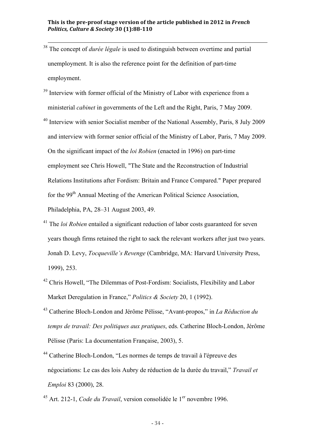- 38 The concept of *durée légale* is used to distinguish between overtime and partial unemployment. It is also the reference point for the definition of part-time employment.
- <sup>39</sup> Interview with former official of the Ministry of Labor with experience from a ministerial *cabinet* in governments of the Left and the Right, Paris, 7 May 2009.
- <sup>40</sup> Interview with senior Socialist member of the National Assembly, Paris, 8 July 2009 and interview with former senior official of the Ministry of Labor, Paris, 7 May 2009. On the significant impact of the *loi Robien* (enacted in 1996) on part-time employment see Chris Howell, "The State and the Reconstruction of Industrial Relations Institutions after Fordism: Britain and France Compared." Paper prepared for the 99<sup>th</sup> Annual Meeting of the American Political Science Association, Philadelphia, PA, 28–31 August 2003, 49.
- <sup>41</sup> The *loi Robien* entailed a significant reduction of labor costs guaranteed for seven years though firms retained the right to sack the relevant workers after just two years. Jonah D. Levy, *Tocqueville's Revenge* (Cambridge, MA: Harvard University Press, 1999), 253.
- <sup>42</sup> Chris Howell, "The Dilemmas of Post-Fordism: Socialists, Flexibility and Labor Market Deregulation in France," *Politics & Society* 20, 1 (1992).
- 43 Catherine Bloch-London and Jérôme Pélisse, "Avant-propos," in *La Réduction du temps de travail: Des politiques aux pratiques*, eds. Catherine Bloch-London, Jérôme Pélisse (Paris: La documentation Française, 2003), 5.
- 44 Catherine Bloch-London, "Les normes de temps de travail à l'épreuve des négociations: Le cas des lois Aubry de réduction de la durée du travail," *Travail et Emploi* 83 (2000), 28.
- <sup>45</sup> Art. 212-1, *Code du Travail*, version consolidée le 1<sup>er</sup> novembre 1996.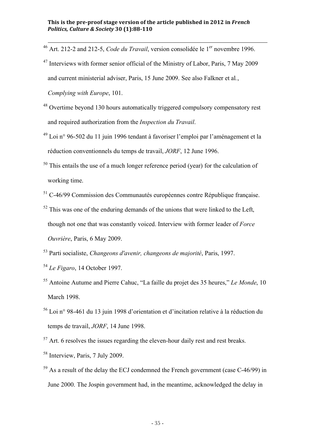- <sup>46</sup> Art. 212-2 and 212-5, *Code du Travail*, version consolidée le 1<sup>er</sup> novembre 1996.
- <sup>47</sup> Interviews with former senior official of the Ministry of Labor, Paris, 7 May 2009 and current ministerial adviser, Paris, 15 June 2009. See also Falkner et al*.*, *Complying with Europe*, 101.
- <sup>48</sup> Overtime beyond 130 hours automatically triggered compulsory compensatory rest and required authorization from the *Inspection du Travail*.
- $^{49}$  Loi n° 96-502 du 11 juin 1996 tendant à favoriser l'emploi par l'aménagement et la réduction conventionnels du temps de travail, *JORF*, 12 June 1996.
- $50$  This entails the use of a much longer reference period (year) for the calculation of working time.
- $51$  C-46/99 Commission des Communautés européennes contre République française.
- $52$  This was one of the enduring demands of the unions that were linked to the Left, though not one that was constantly voiced. Interview with former leader of *Force Ouvrière*, Paris, 6 May 2009.

53 Parti socialiste, *Changeons d'avenir, changeons de majorité*, Paris, 1997.

- <sup>54</sup> *Le Figaro*, 14 October 1997.
- 55 Antoine Autume and Pierre Cahuc, "La faille du projet des 35 heures," *Le Monde*, 10 March 1998.
- 56 Loi n° 98-461 du 13 juin 1998 d'orientation et d'incitation relative à la réduction du temps de travail, *JORF*, 14 June 1998.
- $57$  Art. 6 resolves the issues regarding the eleven-hour daily rest and rest breaks.
- 58 Interview, Paris, 7 July 2009.
- $59$  As a result of the delay the ECJ condemned the French government (case C-46/99) in June 2000. The Jospin government had, in the meantime, acknowledged the delay in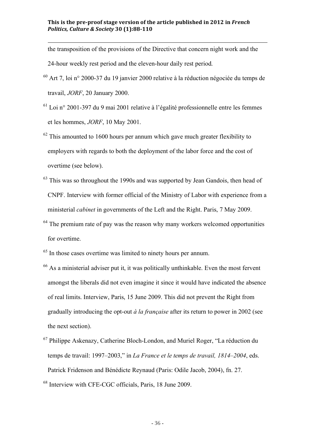the transposition of the provisions of the Directive that concern night work and the

24-hour weekly rest period and the eleven-hour daily rest period.

 $\overline{a}$ 

- $60$  Art 7, loi n° 2000-37 du 19 janvier 2000 relative à la réduction négociée du temps de travail, *JORF*, 20 January 2000.
- $^{61}$  Loi n° 2001-397 du 9 mai 2001 relative à l'égalité professionnelle entre les femmes et les hommes, *JORF*, 10 May 2001.
- $62$  This amounted to 1600 hours per annum which gave much greater flexibility to employers with regards to both the deployment of the labor force and the cost of overtime (see below).
- $63$  This was so throughout the 1990s and was supported by Jean Gandois, then head of CNPF. Interview with former official of the Ministry of Labor with experience from a ministerial *cabinet* in governments of the Left and the Right. Paris, 7 May 2009.
- $64$  The premium rate of pay was the reason why many workers welcomed opportunities for overtime.
- <sup>65</sup> In those cases overtime was limited to ninety hours per annum.
- $66$  As a ministerial adviser put it, it was politically unthinkable. Even the most fervent amongst the liberals did not even imagine it since it would have indicated the absence of real limits. Interview, Paris, 15 June 2009. This did not prevent the Right from gradually introducing the opt-out *à la française* after its return to power in 2002 (see the next section).
- $67$  Philippe Askenazy, Catherine Bloch-London, and Muriel Roger, "La réduction du temps de travail: 1997–2003," in *La France et le temps de travail, 1814–2004*, eds. Patrick Fridenson and Bénédicte Reynaud (Paris: Odile Jacob, 2004), fn. 27.

68 Interview with CFE-CGC officials, Paris, 18 June 2009.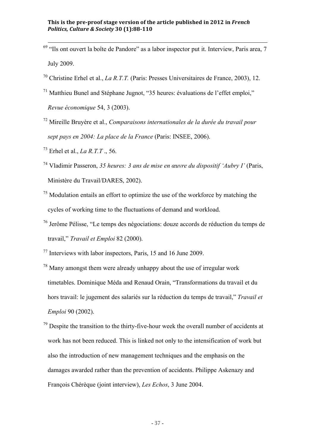- $69$  "Ils ont ouvert la boîte de Pandore" as a labor inspector put it. Interview, Paris area, 7 July 2009.
- 70 Christine Erhel et al., *La R.T.T.* (Paris: Presses Universitaires de France, 2003), 12.
- 71 Matthieu Bunel and Stéphane Jugnot, "35 heures: évaluations de l'effet emploi," *Revue économique* 54, 3 (2003).
- 72 Mireille Bruyère et al., *Comparaisons internationales de la durée du travail pour sept pays en 2004: La place de la France* (Paris: INSEE, 2006).
- 73 Erhel et al., *La R.T.T* ., 56.
- 74 Vladimir Passeron, *35 heures: 3 ans de mise en œuvre du dispositif 'Aubry I'* (Paris, Ministère du Travail/DARES, 2002).
- $<sup>75</sup>$  Modulation entails an effort to optimize the use of the workforce by matching the</sup> cycles of working time to the fluctuations of demand and workload.
- 76 Jerôme Pélisse, "Le temps des négociations: douze accords de réduction du temps de travail," *Travail et Emploi* 82 (2000).
- 77 Interviews with labor inspectors, Paris, 15 and 16 June 2009.
- 78 Many amongst them were already unhappy about the use of irregular work timetables. Dominique Méda and Renaud Orain, "Transformations du travail et du hors travail: le jugement des salariés sur la réduction du temps de travail," *Travail et Emploi* 90 (2002).
- $79$  Despite the transition to the thirty-five-hour week the overall number of accidents at work has not been reduced. This is linked not only to the intensification of work but also the introduction of new management techniques and the emphasis on the damages awarded rather than the prevention of accidents. Philippe Askenazy and François Chérèque (joint interview), *Les Echos*, 3 June 2004.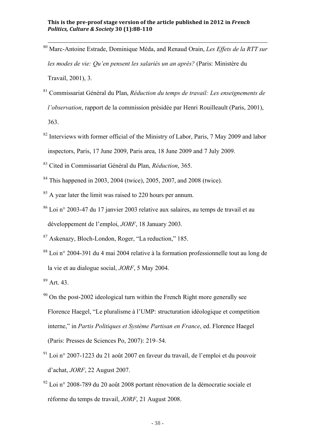- 80 Marc-Antoine Estrade, Dominique Méda, and Renaud Orain, *Les Effets de la RTT sur les modes de vie: Qu'en pensent les salariés un an après?* (Paris: Ministère du Travail, 2001), 3.
- 81 Commissariat Général du Plan, *Réduction du temps de travail: Les enseignements de l'observation*, rapport de la commission présidée par Henri Rouilleault (Paris, 2001), 363.
- $82$  Interviews with former official of the Ministry of Labor, Paris, 7 May 2009 and labor inspectors, Paris, 17 June 2009, Paris area, 18 June 2009 and 7 July 2009.
- 83 Cited in Commissariat Général du Plan, *Réduction*, 365.
- 84 This happened in 2003, 2004 (twice), 2005, 2007, and 2008 (twice).
- <sup>85</sup> A year later the limit was raised to 220 hours per annum.
- 86 Loi n° 2003-47 du 17 janvier 2003 relative aux salaires, au temps de travail et au développement de l'emploi, *JORF*, 18 January 2003.
- 87 Askenazy, Bloch-London, Roger, "La reduction," 185.
- 88 Loi n° 2004-391 du 4 mai 2004 relative à la formation professionnelle tout au long de la vie et au dialogue social, *JORF*, 5 May 2004.
- 89 Art. 43.
- $90$  On the post-2002 ideological turn within the French Right more generally see Florence Haegel, "Le pluralisme à l'UMP: structuration idéologique et competition interne," in *Partis Politiques et Système Partisan en France*, ed. Florence Haegel (Paris: Presses de Sciences Po, 2007): 219–54.
- $91$  Loi n° 2007-1223 du 21 août 2007 en faveur du travail, de l'emploi et du pouvoir d'achat, *JORF*, 22 August 2007.
- $92$  Loi n° 2008-789 du 20 août 2008 portant rénovation de la démocratie sociale et réforme du temps de travail, *JORF*, 21 August 2008.